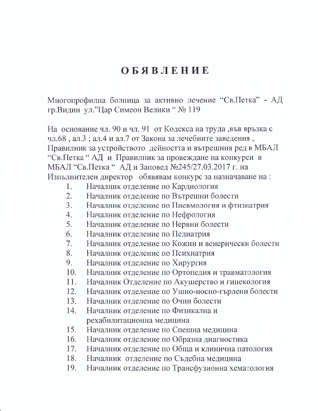## OБЯВЛЕНИЕ

Многопрофилна болница за активно лечение "Св.Петка" - АД гр. Видин ул. "Цар Симеон Велики" № 119

На основание чл. 90 и чл. 91 от Кодекса на труда, във връзка с чл.68, ал.3; ал.4 и ал.7 от Закона за лечебните заведения, Правилник за устройството дейността и вътрешния ред в МБАЛ "Св. Петка "АД и Правилник за провеждане на конкурси в МБАЛ "Св.Петка "АД и Заповед №245/27.03.2017 г. на Изпълнителен директор обявявам конкурс за назначаване на:

- Началник отделение по Кардиология 1.
- $\overline{2}$ . Началник отделение по Вътрешни болести
- $3.$ Началник отделение по Пневмология и фтизиатрия
- Началник отделение по Нефрология  $\mathcal{A}_{\cdot}$
- 5. Началник отделение по Нервни болести
- 6. Началник отделение по Педиатрия
- Началник отделение по Кожни и венерически болести  $7<sub>1</sub>$
- Началник отделение по Психиатрия 8.
- Началник отделение по Хирургия 9.
- Началник отделение по Ортопедия и травматология  $10.$
- Началник Отделение по Акушерство и гинекология 11.
- 12. Началник отделение по Ушно-носно-гърлени болести
- $13<sub>1</sub>$ Началник отделение по Очни болести
- 14. Началник отделение по Физикална и рехабилитационна медицина
- $15.$ Началник отделение по Спешна медицина
- 16. Началник отделение по Образна диагностика
- 17. Началник отделение по Обща и клинична патология
- 18. Началник отделение по Съдебна медицина
- Началник отделение по Трансфузионна хематология 19.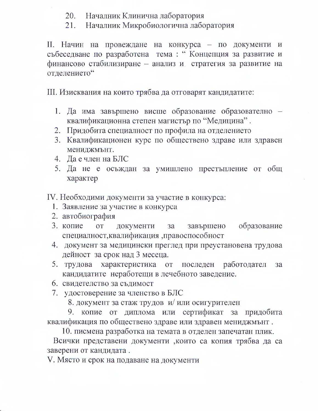- 20. Началник Клинична лаборатория
- Началник Микробиологична лаборатория 21.

II. Начин на провеждане на конкурса - по документи и събеседване по разработена тема: "Концепция за развитие и финансово стабилизиране - анализ и стратегия за развитие на отделението"

III. Изисквания на които трябва да отговарят кандидатите:

- 1. Да има завършено висше образование образователно квалификационна степен магистър по "Медицина".
- 2. Придобита специалност по профила на отделението
- 3. Квалификационен курс по обществено здраве или здравен мениджмънт.
- 4. Да е член на БЛС
- 5. Да не е осъждан за умишлено престъпление от общ характер
- IV. Необходими документи за участие в конкурса:
	- 1. Заявление за участие в конкурса
	- 2. автобиография
	- 3. копие образование **OT** документи завършено  $3a$ специалност, квалификация, правоспособност
	- 4. документ за медицински преглед при преустановена трудова дейност за срок над 3 месеца.
	- 5. трудова характеристика работодател от последен  $3a$ кандидатите неработещи в лечебното заведение.
	- 6. свидетелство за съдимост
	- 7. удостоверение за членство в БЛС
		- 8. документ за стаж трудов и/или осигурителен

9. копие от диплома или сертификат за придобита квалификация по обществено здраве или здравен мениджмънт.

10. писмена разработка на темата в отделен запечатан плик.

Всички представени документи , които са копия трябва да са заверени от кандидата.

V. Място и срок на подаване на документи